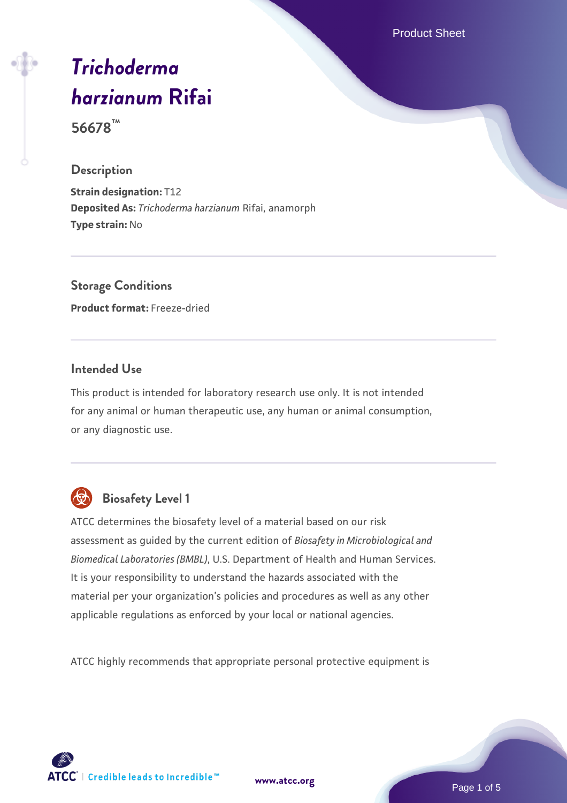Product Sheet

# *[Trichoderma](https://www.atcc.org/products/56678) [harzianum](https://www.atcc.org/products/56678)* **[Rifai](https://www.atcc.org/products/56678)**

**56678™**

#### **Description**

**Strain designation:** T12 **Deposited As:** *Trichoderma harzianum* Rifai, anamorph **Type strain:** No

**Storage Conditions Product format:** Freeze-dried

# **Intended Use**

This product is intended for laboratory research use only. It is not intended for any animal or human therapeutic use, any human or animal consumption, or any diagnostic use.



# **Biosafety Level 1**

ATCC determines the biosafety level of a material based on our risk assessment as guided by the current edition of *Biosafety in Microbiological and Biomedical Laboratories (BMBL)*, U.S. Department of Health and Human Services. It is your responsibility to understand the hazards associated with the material per your organization's policies and procedures as well as any other applicable regulations as enforced by your local or national agencies.

ATCC highly recommends that appropriate personal protective equipment is

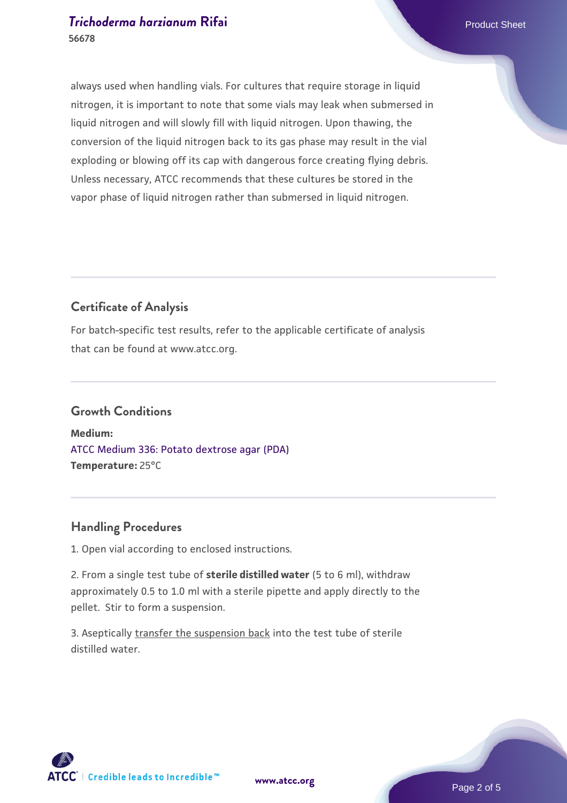always used when handling vials. For cultures that require storage in liquid nitrogen, it is important to note that some vials may leak when submersed in liquid nitrogen and will slowly fill with liquid nitrogen. Upon thawing, the conversion of the liquid nitrogen back to its gas phase may result in the vial exploding or blowing off its cap with dangerous force creating flying debris. Unless necessary, ATCC recommends that these cultures be stored in the vapor phase of liquid nitrogen rather than submersed in liquid nitrogen.

# **Certificate of Analysis**

For batch-specific test results, refer to the applicable certificate of analysis that can be found at www.atcc.org.

#### **Growth Conditions**

**Medium:**  [ATCC Medium 336: Potato dextrose agar \(PDA\)](https://www.atcc.org/-/media/product-assets/documents/microbial-media-formulations/3/3/6/atcc-medium-336.pdf?rev=d9160ad44d934cd8b65175461abbf3b9) **Temperature:** 25°C

# **Handling Procedures**

1. Open vial according to enclosed instructions.

2. From a single test tube of **sterile distilled water** (5 to 6 ml), withdraw approximately 0.5 to 1.0 ml with a sterile pipette and apply directly to the pellet. Stir to form a suspension.

3. Aseptically transfer the suspension back into the test tube of sterile distilled water.



**[www.atcc.org](http://www.atcc.org)**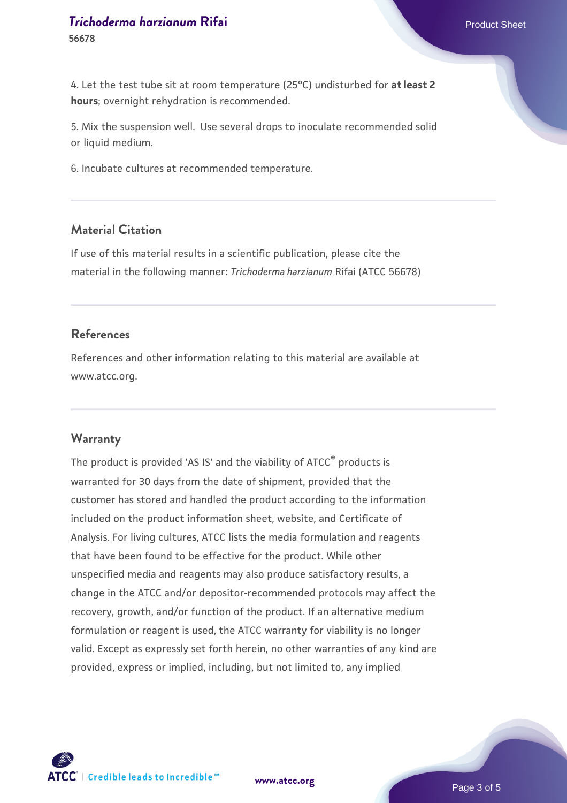4. Let the test tube sit at room temperature (25°C) undisturbed for **at least 2 hours**; overnight rehydration is recommended.

5. Mix the suspension well. Use several drops to inoculate recommended solid or liquid medium.

6. Incubate cultures at recommended temperature.

#### **Material Citation**

If use of this material results in a scientific publication, please cite the material in the following manner: *Trichoderma harzianum* Rifai (ATCC 56678)

#### **References**

References and other information relating to this material are available at www.atcc.org.

#### **Warranty**

The product is provided 'AS IS' and the viability of ATCC<sup>®</sup> products is warranted for 30 days from the date of shipment, provided that the customer has stored and handled the product according to the information included on the product information sheet, website, and Certificate of Analysis. For living cultures, ATCC lists the media formulation and reagents that have been found to be effective for the product. While other unspecified media and reagents may also produce satisfactory results, a change in the ATCC and/or depositor-recommended protocols may affect the recovery, growth, and/or function of the product. If an alternative medium formulation or reagent is used, the ATCC warranty for viability is no longer valid. Except as expressly set forth herein, no other warranties of any kind are provided, express or implied, including, but not limited to, any implied



**[www.atcc.org](http://www.atcc.org)**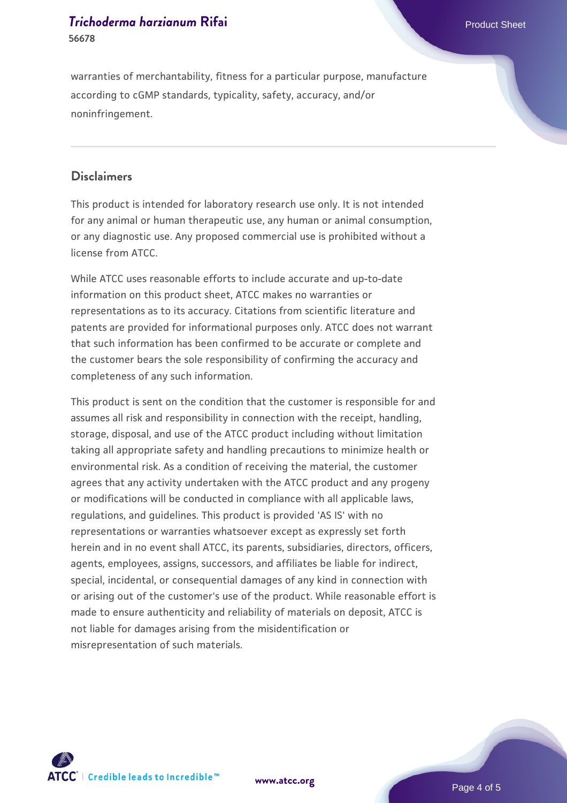warranties of merchantability, fitness for a particular purpose, manufacture according to cGMP standards, typicality, safety, accuracy, and/or noninfringement.

#### **Disclaimers**

This product is intended for laboratory research use only. It is not intended for any animal or human therapeutic use, any human or animal consumption, or any diagnostic use. Any proposed commercial use is prohibited without a license from ATCC.

While ATCC uses reasonable efforts to include accurate and up-to-date information on this product sheet, ATCC makes no warranties or representations as to its accuracy. Citations from scientific literature and patents are provided for informational purposes only. ATCC does not warrant that such information has been confirmed to be accurate or complete and the customer bears the sole responsibility of confirming the accuracy and completeness of any such information.

This product is sent on the condition that the customer is responsible for and assumes all risk and responsibility in connection with the receipt, handling, storage, disposal, and use of the ATCC product including without limitation taking all appropriate safety and handling precautions to minimize health or environmental risk. As a condition of receiving the material, the customer agrees that any activity undertaken with the ATCC product and any progeny or modifications will be conducted in compliance with all applicable laws, regulations, and guidelines. This product is provided 'AS IS' with no representations or warranties whatsoever except as expressly set forth herein and in no event shall ATCC, its parents, subsidiaries, directors, officers, agents, employees, assigns, successors, and affiliates be liable for indirect, special, incidental, or consequential damages of any kind in connection with or arising out of the customer's use of the product. While reasonable effort is made to ensure authenticity and reliability of materials on deposit, ATCC is not liable for damages arising from the misidentification or misrepresentation of such materials.



**[www.atcc.org](http://www.atcc.org)**

Page 4 of 5